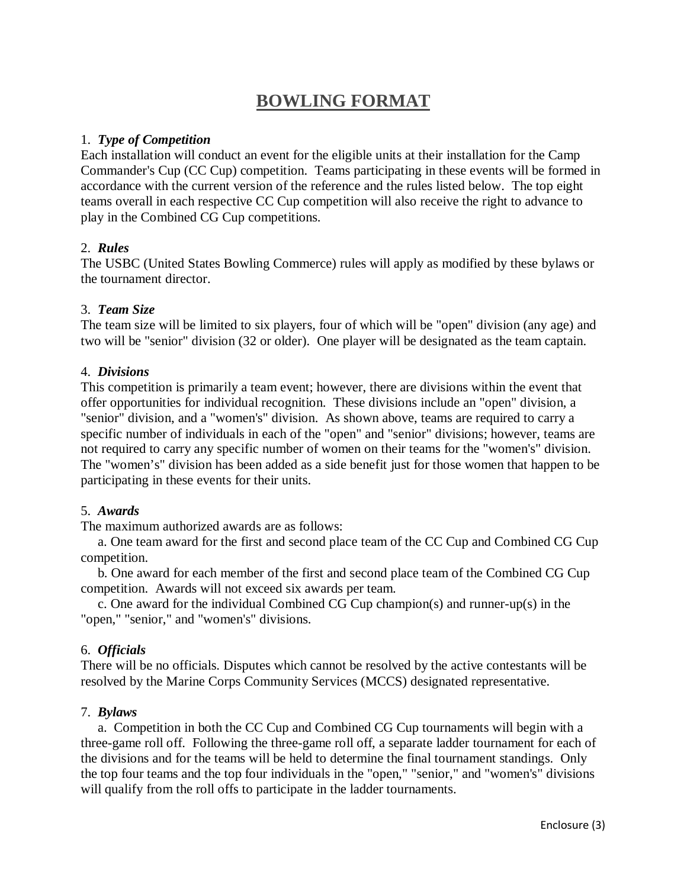# **BOWLING FORMAT**

#### 1. *Type of Competition*

Each installation will conduct an event for the eligible units at their installation for the Camp Commander's Cup (CC Cup) competition. Teams participating in these events will be formed in accordance with the current version of the reference and the rules listed below. The top eight teams overall in each respective CC Cup competition will also receive the right to advance to play in the Combined CG Cup competitions.

## 2. *Rules*

The USBC (United States Bowling Commerce) rules will apply as modified by these bylaws or the tournament director.

## 3. *Team Size*

The team size will be limited to six players, four of which will be "open" division (any age) and two will be "senior" division (32 or older). One player will be designated as the team captain.

## 4. *Divisions*

This competition is primarily a team event; however, there are divisions within the event that offer opportunities for individual recognition. These divisions include an "open" division, a "senior" division, and a "women's" division. As shown above, teams are required to carry a specific number of individuals in each of the "open" and "senior" divisions; however, teams are not required to carry any specific number of women on their teams for the "women's" division. The "women's" division has been added as a side benefit just for those women that happen to be participating in these events for their units.

#### 5. *Awards*

The maximum authorized awards are as follows:

 a. One team award for the first and second place team of the CC Cup and Combined CG Cup competition.

 b. One award for each member of the first and second place team of the Combined CG Cup competition. Awards will not exceed six awards per team.

 c. One award for the individual Combined CG Cup champion(s) and runner-up(s) in the "open," "senior," and "women's" divisions.

## 6. *Officials*

There will be no officials. Disputes which cannot be resolved by the active contestants will be resolved by the Marine Corps Community Services (MCCS) designated representative.

#### 7. *Bylaws*

 a. Competition in both the CC Cup and Combined CG Cup tournaments will begin with a three-game roll off. Following the three-game roll off, a separate ladder tournament for each of the divisions and for the teams will be held to determine the final tournament standings. Only the top four teams and the top four individuals in the "open," "senior," and "women's" divisions will qualify from the roll offs to participate in the ladder tournaments.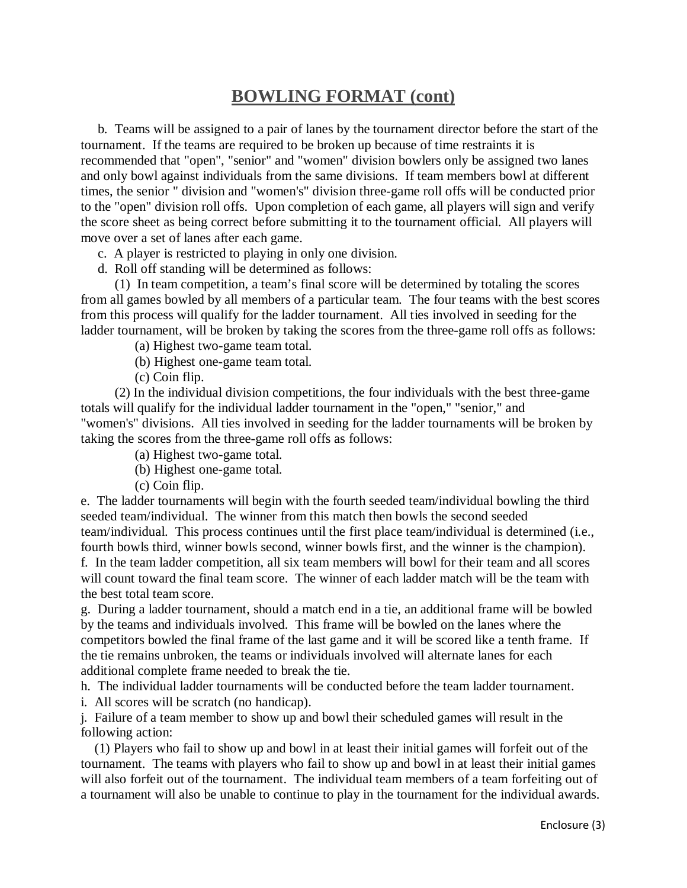## **BOWLING FORMAT (cont)**

 b. Teams will be assigned to a pair of lanes by the tournament director before the start of the tournament. If the teams are required to be broken up because of time restraints it is recommended that "open", "senior" and "women" division bowlers only be assigned two lanes and only bowl against individuals from the same divisions. If team members bowl at different times, the senior " division and "women's" division three-game roll offs will be conducted prior to the "open" division roll offs. Upon completion of each game, all players will sign and verify the score sheet as being correct before submitting it to the tournament official. All players will move over a set of lanes after each game.

c. A player is restricted to playing in only one division.

d. Roll off standing will be determined as follows:

 (1) In team competition, a team's final score will be determined by totaling the scores from all games bowled by all members of a particular team. The four teams with the best scores from this process will qualify for the ladder tournament. All ties involved in seeding for the ladder tournament, will be broken by taking the scores from the three-game roll offs as follows:

(a) Highest two-game team total.

(b) Highest one-game team total.

(c) Coin flip.

 (2) In the individual division competitions, the four individuals with the best three-game totals will qualify for the individual ladder tournament in the "open," "senior," and "women's" divisions. All ties involved in seeding for the ladder tournaments will be broken by taking the scores from the three-game roll offs as follows:

(a) Highest two-game total.

(b) Highest one-game total.

(c) Coin flip.

e. The ladder tournaments will begin with the fourth seeded team/individual bowling the third seeded team/individual. The winner from this match then bowls the second seeded team/individual. This process continues until the first place team/individual is determined (i.e., fourth bowls third, winner bowls second, winner bowls first, and the winner is the champion). f. In the team ladder competition, all six team members will bowl for their team and all scores will count toward the final team score. The winner of each ladder match will be the team with the best total team score.

g. During a ladder tournament, should a match end in a tie, an additional frame will be bowled by the teams and individuals involved. This frame will be bowled on the lanes where the competitors bowled the final frame of the last game and it will be scored like a tenth frame. If the tie remains unbroken, the teams or individuals involved will alternate lanes for each additional complete frame needed to break the tie.

h. The individual ladder tournaments will be conducted before the team ladder tournament.

i. All scores will be scratch (no handicap).

j. Failure of a team member to show up and bowl their scheduled games will result in the following action:

 (1) Players who fail to show up and bowl in at least their initial games will forfeit out of the tournament. The teams with players who fail to show up and bowl in at least their initial games will also forfeit out of the tournament. The individual team members of a team forfeiting out of a tournament will also be unable to continue to play in the tournament for the individual awards.